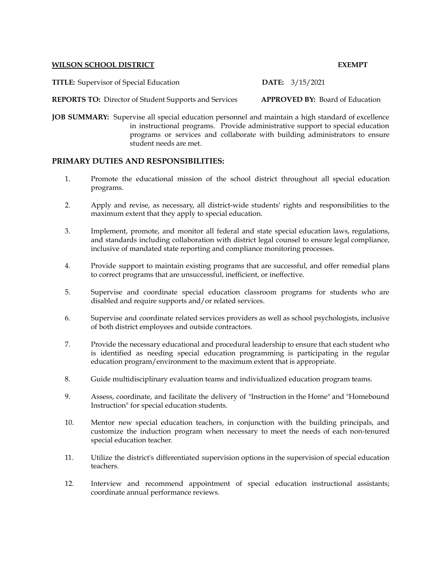## **WILSON SCHOOL DISTRICT EXEMPT**

**TITLE:** Supervisor of Special Education **DATE:** 3/15/2021

**REPORTS TO:** Director of Student Supports and Services **APPROVED BY:** Board of Education

**JOB SUMMARY:** Supervise all special education personnel and maintain a high standard of excellence in instructional programs. Provide administrative support to special education programs or services and collaborate with building administrators to ensure student needs are met.

## **PRIMARY DUTIES AND RESPONSIBILITIES:**

- 1. Promote the educational mission of the school district throughout all special education programs.
- 2. Apply and revise, as necessary, all district-wide students' rights and responsibilities to the maximum extent that they apply to special education.
- 3. Implement, promote, and monitor all federal and state special education laws, regulations, and standards including collaboration with district legal counsel to ensure legal compliance, inclusive of mandated state reporting and compliance monitoring processes.
- 4. Provide support to maintain existing programs that are successful, and offer remedial plans to correct programs that are unsuccessful, inefficient, or ineffective.
- 5. Supervise and coordinate special education classroom programs for students who are disabled and require supports and/or related services.
- 6. Supervise and coordinate related services providers as well as school psychologists, inclusive of both district employees and outside contractors.
- 7. Provide the necessary educational and procedural leadership to ensure that each student who is identified as needing special education programming is participating in the regular education program/environment to the maximum extent that is appropriate.
- 8. Guide multidisciplinary evaluation teams and individualized education program teams.
- 9. Assess, coordinate, and facilitate the delivery of "Instruction in the Home" and "Homebound Instruction" for special education students.
- 10. Mentor new special education teachers, in conjunction with the building principals, and customize the induction program when necessary to meet the needs of each non-tenured special education teacher.
- 11. Utilize the district's differentiated supervision options in the supervision of special education teachers.
- 12. Interview and recommend appointment of special education instructional assistants; coordinate annual performance reviews.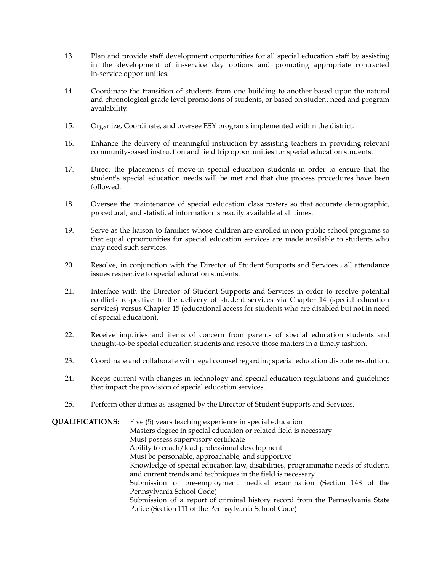- 13. Plan and provide staff development opportunities for all special education staff by assisting in the development of in-service day options and promoting appropriate contracted in-service opportunities.
- 14. Coordinate the transition of students from one building to another based upon the natural and chronological grade level promotions of students, or based on student need and program availability.
- 15. Organize, Coordinate, and oversee ESY programs implemented within the district.
- 16. Enhance the delivery of meaningful instruction by assisting teachers in providing relevant community-based instruction and field trip opportunities for special education students.
- 17. Direct the placements of move-in special education students in order to ensure that the student's special education needs will be met and that due process procedures have been followed.
- 18. Oversee the maintenance of special education class rosters so that accurate demographic, procedural, and statistical information is readily available at all times.
- 19. Serve as the liaison to families whose children are enrolled in non-public school programs so that equal opportunities for special education services are made available to students who may need such services.
- 20. Resolve, in conjunction with the Director of Student Supports and Services , all attendance issues respective to special education students.
- 21. Interface with the Director of Student Supports and Services in order to resolve potential conflicts respective to the delivery of student services via Chapter 14 (special education services) versus Chapter 15 (educational access for students who are disabled but not in need of special education).
- 22. Receive inquiries and items of concern from parents of special education students and thought-to-be special education students and resolve those matters in a timely fashion.
- 23. Coordinate and collaborate with legal counsel regarding special education dispute resolution.
- 24. Keeps current with changes in technology and special education regulations and guidelines that impact the provision of special education services.
- 25. Perform other duties as assigned by the Director of Student Supports and Services.

**QUALIFICATIONS:** Five (5) years teaching experience in special education Masters degree in special education or related field is necessary Must possess supervisory certificate Ability to coach/lead professional development Must be personable, approachable, and supportive Knowledge of special education law, disabilities, programmatic needs of student, and current trends and techniques in the field is necessary Submission of pre-employment medical examination (Section 148 of the Pennsylvania School Code) Submission of a report of criminal history record from the Pennsylvania State Police (Section 111 of the Pennsylvania School Code)